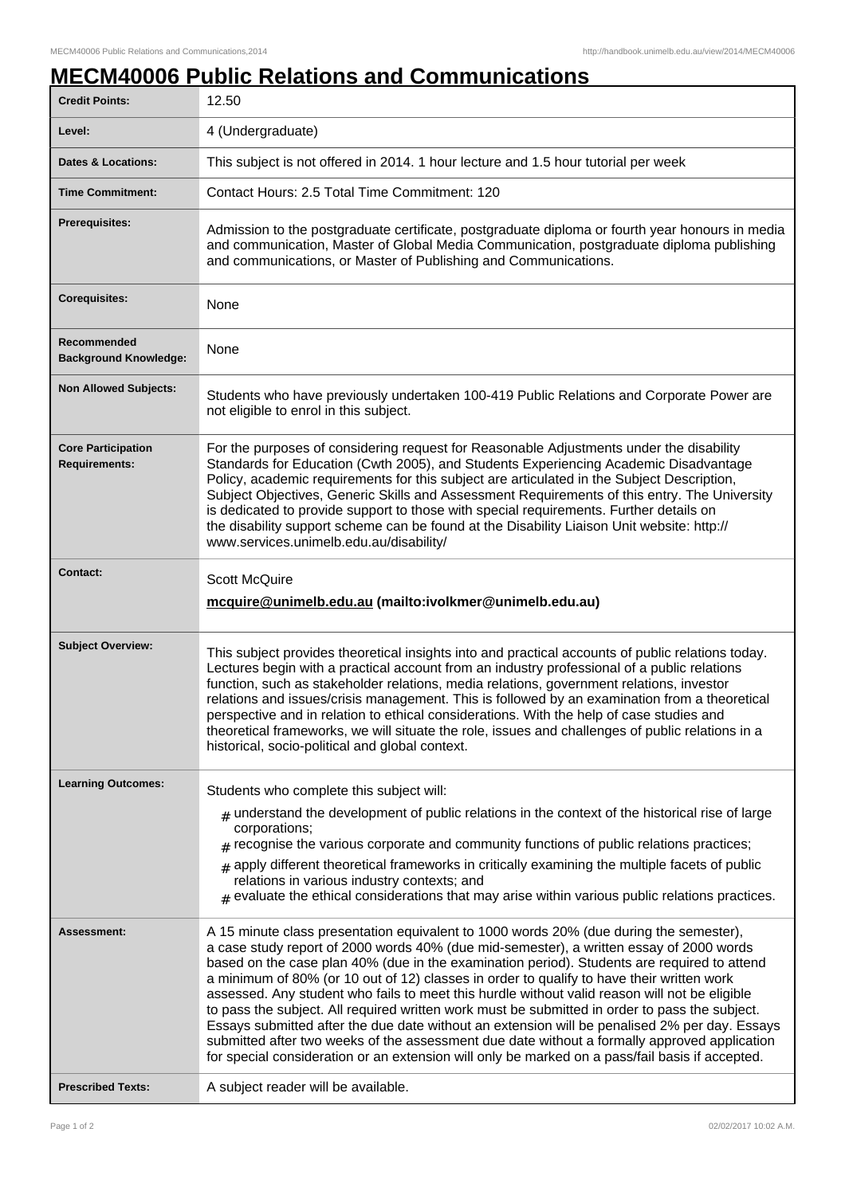## **MECM40006 Public Relations and Communications**

| <b>Credit Points:</b>                             | 12.50                                                                                                                                                                                                                                                                                                                                                                                                                                                                                                                                                                                                                                                                                                                                                                                                                                                                                |
|---------------------------------------------------|--------------------------------------------------------------------------------------------------------------------------------------------------------------------------------------------------------------------------------------------------------------------------------------------------------------------------------------------------------------------------------------------------------------------------------------------------------------------------------------------------------------------------------------------------------------------------------------------------------------------------------------------------------------------------------------------------------------------------------------------------------------------------------------------------------------------------------------------------------------------------------------|
| Level:                                            | 4 (Undergraduate)                                                                                                                                                                                                                                                                                                                                                                                                                                                                                                                                                                                                                                                                                                                                                                                                                                                                    |
| <b>Dates &amp; Locations:</b>                     | This subject is not offered in 2014. 1 hour lecture and 1.5 hour tutorial per week                                                                                                                                                                                                                                                                                                                                                                                                                                                                                                                                                                                                                                                                                                                                                                                                   |
| <b>Time Commitment:</b>                           | Contact Hours: 2.5 Total Time Commitment: 120                                                                                                                                                                                                                                                                                                                                                                                                                                                                                                                                                                                                                                                                                                                                                                                                                                        |
| <b>Prerequisites:</b>                             | Admission to the postgraduate certificate, postgraduate diploma or fourth year honours in media<br>and communication, Master of Global Media Communication, postgraduate diploma publishing<br>and communications, or Master of Publishing and Communications.                                                                                                                                                                                                                                                                                                                                                                                                                                                                                                                                                                                                                       |
| <b>Corequisites:</b>                              | None                                                                                                                                                                                                                                                                                                                                                                                                                                                                                                                                                                                                                                                                                                                                                                                                                                                                                 |
| Recommended<br><b>Background Knowledge:</b>       | None                                                                                                                                                                                                                                                                                                                                                                                                                                                                                                                                                                                                                                                                                                                                                                                                                                                                                 |
| <b>Non Allowed Subjects:</b>                      | Students who have previously undertaken 100-419 Public Relations and Corporate Power are<br>not eligible to enrol in this subject.                                                                                                                                                                                                                                                                                                                                                                                                                                                                                                                                                                                                                                                                                                                                                   |
| <b>Core Participation</b><br><b>Requirements:</b> | For the purposes of considering request for Reasonable Adjustments under the disability<br>Standards for Education (Cwth 2005), and Students Experiencing Academic Disadvantage<br>Policy, academic requirements for this subject are articulated in the Subject Description,<br>Subject Objectives, Generic Skills and Assessment Requirements of this entry. The University<br>is dedicated to provide support to those with special requirements. Further details on<br>the disability support scheme can be found at the Disability Liaison Unit website: http://<br>www.services.unimelb.edu.au/disability/                                                                                                                                                                                                                                                                     |
| <b>Contact:</b>                                   | <b>Scott McQuire</b><br>mcquire@unimelb.edu.au (mailto:ivolkmer@unimelb.edu.au)                                                                                                                                                                                                                                                                                                                                                                                                                                                                                                                                                                                                                                                                                                                                                                                                      |
| <b>Subject Overview:</b>                          | This subject provides theoretical insights into and practical accounts of public relations today.<br>Lectures begin with a practical account from an industry professional of a public relations<br>function, such as stakeholder relations, media relations, government relations, investor<br>relations and issues/crisis management. This is followed by an examination from a theoretical<br>perspective and in relation to ethical considerations. With the help of case studies and<br>theoretical frameworks, we will situate the role, issues and challenges of public relations in a<br>historical, socio-political and global context.                                                                                                                                                                                                                                     |
| <b>Learning Outcomes:</b>                         | Students who complete this subject will:                                                                                                                                                                                                                                                                                                                                                                                                                                                                                                                                                                                                                                                                                                                                                                                                                                             |
|                                                   | $_{\#}$ understand the development of public relations in the context of the historical rise of large<br>corporations;<br>$*$ recognise the various corporate and community functions of public relations practices;<br>apply different theoretical frameworks in critically examining the multiple facets of public<br>#<br>relations in various industry contexts; and<br>$_{\#}$ evaluate the ethical considerations that may arise within various public relations practices.                                                                                                                                                                                                                                                                                                                                                                                                    |
| <b>Assessment:</b>                                | A 15 minute class presentation equivalent to 1000 words 20% (due during the semester),<br>a case study report of 2000 words 40% (due mid-semester), a written essay of 2000 words<br>based on the case plan 40% (due in the examination period). Students are required to attend<br>a minimum of 80% (or 10 out of 12) classes in order to qualify to have their written work<br>assessed. Any student who fails to meet this hurdle without valid reason will not be eligible<br>to pass the subject. All required written work must be submitted in order to pass the subject.<br>Essays submitted after the due date without an extension will be penalised 2% per day. Essays<br>submitted after two weeks of the assessment due date without a formally approved application<br>for special consideration or an extension will only be marked on a pass/fail basis if accepted. |
| <b>Prescribed Texts:</b>                          | A subject reader will be available.                                                                                                                                                                                                                                                                                                                                                                                                                                                                                                                                                                                                                                                                                                                                                                                                                                                  |